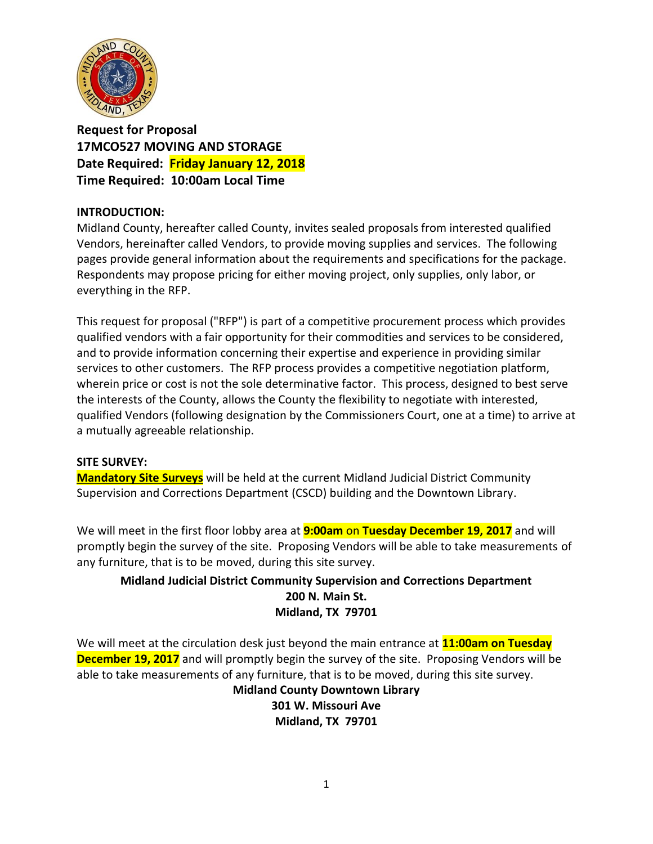

**Request for Proposal 17MCO527 MOVING AND STORAGE Date Required: Friday January 12, 2018 Time Required: 10:00am Local Time**

# **INTRODUCTION:**

Midland County, hereafter called County, invites sealed proposals from interested qualified Vendors, hereinafter called Vendors, to provide moving supplies and services. The following pages provide general information about the requirements and specifications for the package. Respondents may propose pricing for either moving project, only supplies, only labor, or everything in the RFP.

This request for proposal ("RFP") is part of a competitive procurement process which provides qualified vendors with a fair opportunity for their commodities and services to be considered, and to provide information concerning their expertise and experience in providing similar services to other customers. The RFP process provides a competitive negotiation platform, wherein price or cost is not the sole determinative factor. This process, designed to best serve the interests of the County, allows the County the flexibility to negotiate with interested, qualified Vendors (following designation by the Commissioners Court, one at a time) to arrive at a mutually agreeable relationship.

#### **SITE SURVEY:**

**Mandatory Site Surveys** will be held at the current Midland Judicial District Community Supervision and Corrections Department (CSCD) building and the Downtown Library.

We will meet in the first floor lobby area at **9:00am** on **Tuesday December 19, 2017** and will promptly begin the survey of the site. Proposing Vendors will be able to take measurements of any furniture, that is to be moved, during this site survey.

# **Midland Judicial District Community Supervision and Corrections Department 200 N. Main St. Midland, TX 79701**

We will meet at the circulation desk just beyond the main entrance at **11:00am on Tuesday December 19, 2017** and will promptly begin the survey of the site. Proposing Vendors will be able to take measurements of any furniture, that is to be moved, during this site survey.

**Midland County Downtown Library 301 W. Missouri Ave Midland, TX 79701**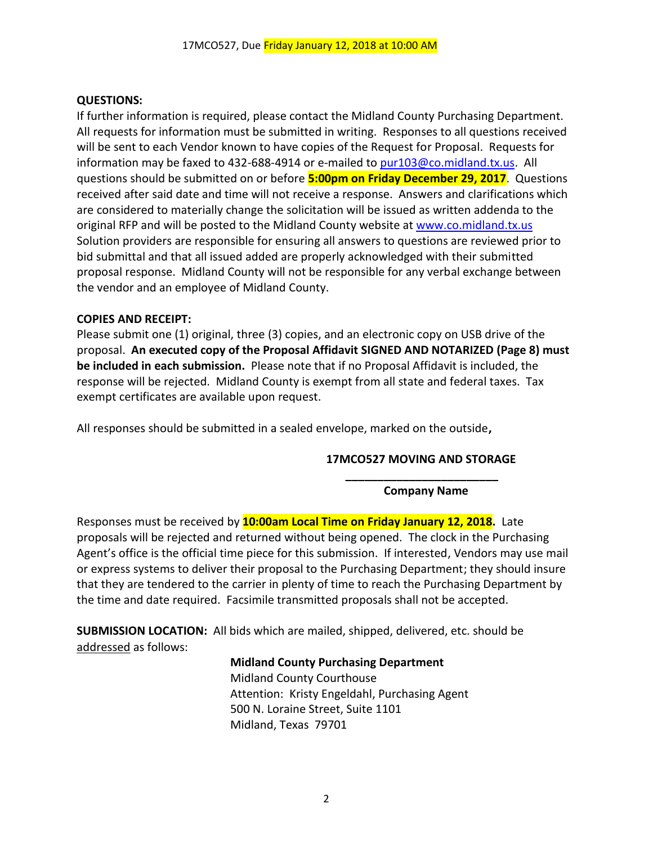### **QUESTIONS:**

If further information is required, please contact the Midland County Purchasing Department. All requests for information must be submitted in writing. Responses to all questions received will be sent to each Vendor known to have copies of the Request for Proposal. Requests for information may be faxed to 432-688-4914 or e-mailed to [pur103@co.midland.tx.us.](mailto:pur103@co.midland.tx.us) All questions should be submitted on or before **5:00pm on Friday December 29, 2017**. Questions received after said date and time will not receive a response. Answers and clarifications which are considered to materially change the solicitation will be issued as written addenda to the original RFP and will be posted to the Midland County website at www.co.midland.tx.us Solution providers are responsible for ensuring all answers to questions are reviewed prior to bid submittal and that all issued added are properly acknowledged with their submitted proposal response. Midland County will not be responsible for any verbal exchange between the vendor and an employee of Midland County.

### **COPIES AND RECEIPT:**

Please submit one (1) original, three (3) copies, and an electronic copy on USB drive of the proposal. **An executed copy of the Proposal Affidavit SIGNED AND NOTARIZED (Page 8) must be included in each submission.** Please note that if no Proposal Affidavit is included, the response will be rejected. Midland County is exempt from all state and federal taxes. Tax exempt certificates are available upon request.

All responses should be submitted in a sealed envelope, marked on the outside**,** 

# **17MCO527 MOVING AND STORAGE \_\_\_\_\_\_\_\_\_\_\_\_\_\_\_\_\_\_\_\_\_\_\_\_**

**Company Name**

Responses must be received by **10:00am Local Time on Friday January 12, 2018.** Late proposals will be rejected and returned without being opened. The clock in the Purchasing Agent's office is the official time piece for this submission. If interested, Vendors may use mail or express systems to deliver their proposal to the Purchasing Department; they should insure that they are tendered to the carrier in plenty of time to reach the Purchasing Department by the time and date required. Facsimile transmitted proposals shall not be accepted.

**SUBMISSION LOCATION:** All bids which are mailed, shipped, delivered, etc. should be addressed as follows:

#### **Midland County Purchasing Department**

Midland County Courthouse Attention: Kristy Engeldahl, Purchasing Agent 500 N. Loraine Street, Suite 1101 Midland, Texas 79701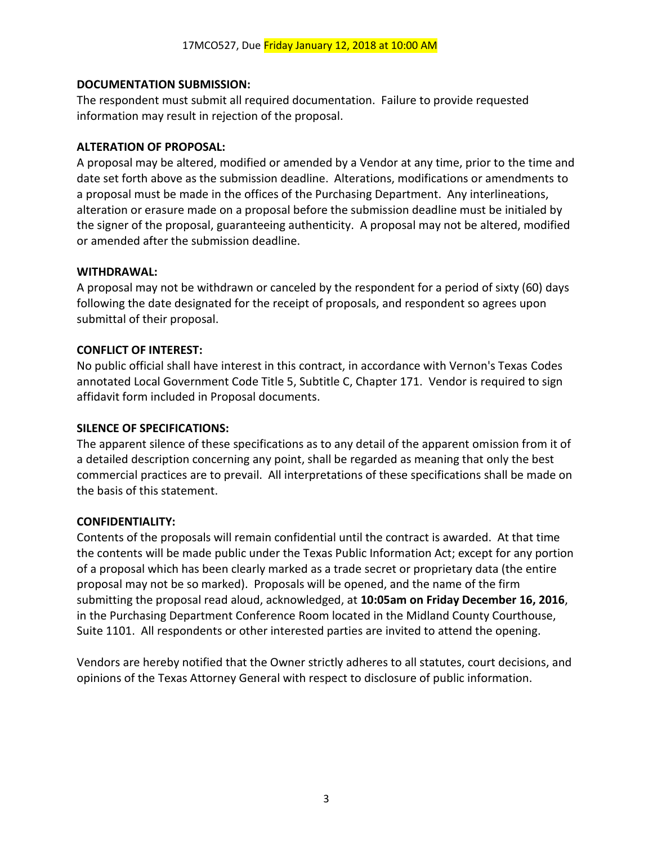# **DOCUMENTATION SUBMISSION:**

The respondent must submit all required documentation. Failure to provide requested information may result in rejection of the proposal.

### **ALTERATION OF PROPOSAL:**

A proposal may be altered, modified or amended by a Vendor at any time, prior to the time and date set forth above as the submission deadline. Alterations, modifications or amendments to a proposal must be made in the offices of the Purchasing Department. Any interlineations, alteration or erasure made on a proposal before the submission deadline must be initialed by the signer of the proposal, guaranteeing authenticity. A proposal may not be altered, modified or amended after the submission deadline.

#### **WITHDRAWAL:**

A proposal may not be withdrawn or canceled by the respondent for a period of sixty (60) days following the date designated for the receipt of proposals, and respondent so agrees upon submittal of their proposal.

### **CONFLICT OF INTEREST:**

No public official shall have interest in this contract, in accordance with Vernon's Texas Codes annotated Local Government Code Title 5, Subtitle C, Chapter 171. Vendor is required to sign affidavit form included in Proposal documents.

#### **SILENCE OF SPECIFICATIONS:**

The apparent silence of these specifications as to any detail of the apparent omission from it of a detailed description concerning any point, shall be regarded as meaning that only the best commercial practices are to prevail. All interpretations of these specifications shall be made on the basis of this statement.

#### **CONFIDENTIALITY:**

Contents of the proposals will remain confidential until the contract is awarded. At that time the contents will be made public under the Texas Public Information Act; except for any portion of a proposal which has been clearly marked as a trade secret or proprietary data (the entire proposal may not be so marked). Proposals will be opened, and the name of the firm submitting the proposal read aloud, acknowledged, at **10:05am on Friday December 16, 2016**, in the Purchasing Department Conference Room located in the Midland County Courthouse, Suite 1101. All respondents or other interested parties are invited to attend the opening.

Vendors are hereby notified that the Owner strictly adheres to all statutes, court decisions, and opinions of the Texas Attorney General with respect to disclosure of public information.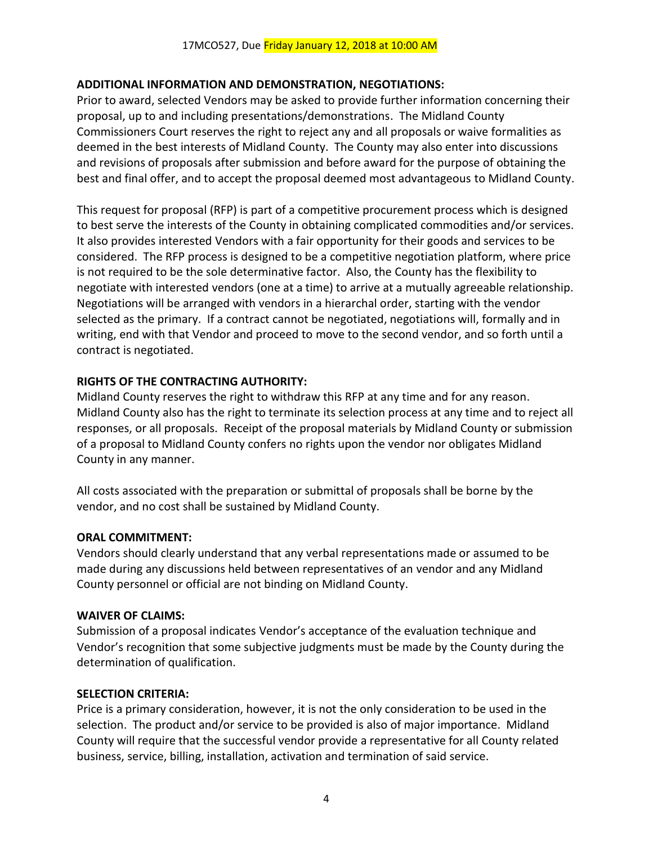# **ADDITIONAL INFORMATION AND DEMONSTRATION, NEGOTIATIONS:**

Prior to award, selected Vendors may be asked to provide further information concerning their proposal, up to and including presentations/demonstrations. The Midland County Commissioners Court reserves the right to reject any and all proposals or waive formalities as deemed in the best interests of Midland County. The County may also enter into discussions and revisions of proposals after submission and before award for the purpose of obtaining the best and final offer, and to accept the proposal deemed most advantageous to Midland County.

This request for proposal (RFP) is part of a competitive procurement process which is designed to best serve the interests of the County in obtaining complicated commodities and/or services. It also provides interested Vendors with a fair opportunity for their goods and services to be considered. The RFP process is designed to be a competitive negotiation platform, where price is not required to be the sole determinative factor. Also, the County has the flexibility to negotiate with interested vendors (one at a time) to arrive at a mutually agreeable relationship. Negotiations will be arranged with vendors in a hierarchal order, starting with the vendor selected as the primary. If a contract cannot be negotiated, negotiations will, formally and in writing, end with that Vendor and proceed to move to the second vendor, and so forth until a contract is negotiated.

# **RIGHTS OF THE CONTRACTING AUTHORITY:**

Midland County reserves the right to withdraw this RFP at any time and for any reason. Midland County also has the right to terminate its selection process at any time and to reject all responses, or all proposals. Receipt of the proposal materials by Midland County or submission of a proposal to Midland County confers no rights upon the vendor nor obligates Midland County in any manner.

All costs associated with the preparation or submittal of proposals shall be borne by the vendor, and no cost shall be sustained by Midland County.

# **ORAL COMMITMENT:**

Vendors should clearly understand that any verbal representations made or assumed to be made during any discussions held between representatives of an vendor and any Midland County personnel or official are not binding on Midland County.

# **WAIVER OF CLAIMS:**

Submission of a proposal indicates Vendor's acceptance of the evaluation technique and Vendor's recognition that some subjective judgments must be made by the County during the determination of qualification.

# **SELECTION CRITERIA:**

Price is a primary consideration, however, it is not the only consideration to be used in the selection. The product and/or service to be provided is also of major importance. Midland County will require that the successful vendor provide a representative for all County related business, service, billing, installation, activation and termination of said service.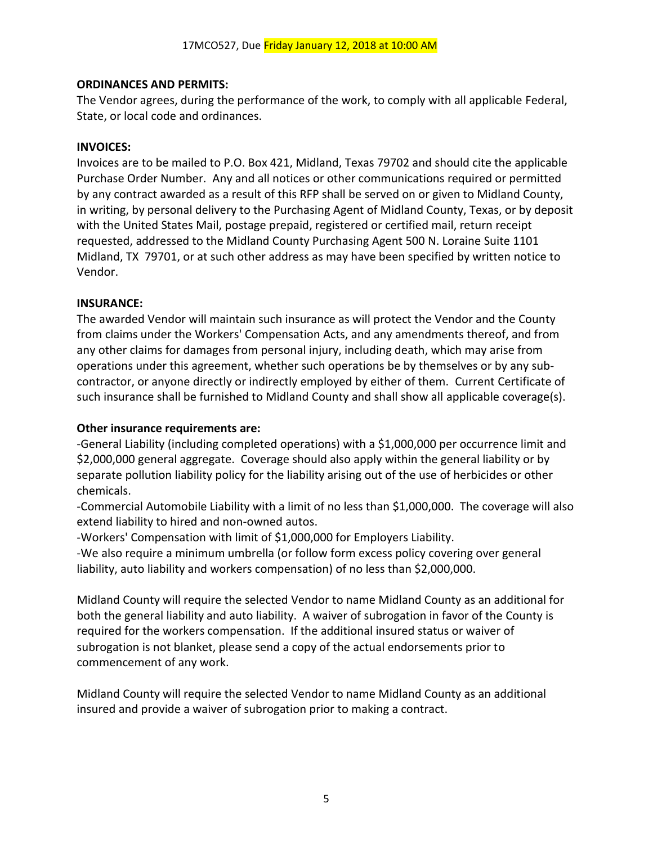### **ORDINANCES AND PERMITS:**

The Vendor agrees, during the performance of the work, to comply with all applicable Federal, State, or local code and ordinances.

#### **INVOICES:**

Invoices are to be mailed to P.O. Box 421, Midland, Texas 79702 and should cite the applicable Purchase Order Number. Any and all notices or other communications required or permitted by any contract awarded as a result of this RFP shall be served on or given to Midland County, in writing, by personal delivery to the Purchasing Agent of Midland County, Texas, or by deposit with the United States Mail, postage prepaid, registered or certified mail, return receipt requested, addressed to the Midland County Purchasing Agent 500 N. Loraine Suite 1101 Midland, TX 79701, or at such other address as may have been specified by written notice to Vendor.

### **INSURANCE:**

The awarded Vendor will maintain such insurance as will protect the Vendor and the County from claims under the Workers' Compensation Acts, and any amendments thereof, and from any other claims for damages from personal injury, including death, which may arise from operations under this agreement, whether such operations be by themselves or by any subcontractor, or anyone directly or indirectly employed by either of them. Current Certificate of such insurance shall be furnished to Midland County and shall show all applicable coverage(s).

## **Other insurance requirements are:**

-General Liability (including completed operations) with a \$1,000,000 per occurrence limit and \$2,000,000 general aggregate. Coverage should also apply within the general liability or by separate pollution liability policy for the liability arising out of the use of herbicides or other chemicals.

-Commercial Automobile Liability with a limit of no less than \$1,000,000. The coverage will also extend liability to hired and non-owned autos.

-Workers' Compensation with limit of \$1,000,000 for Employers Liability.

-We also require a minimum umbrella (or follow form excess policy covering over general liability, auto liability and workers compensation) of no less than \$2,000,000.

Midland County will require the selected Vendor to name Midland County as an additional for both the general liability and auto liability. A waiver of subrogation in favor of the County is required for the workers compensation. If the additional insured status or waiver of subrogation is not blanket, please send a copy of the actual endorsements prior to commencement of any work.

Midland County will require the selected Vendor to name Midland County as an additional insured and provide a waiver of subrogation prior to making a contract.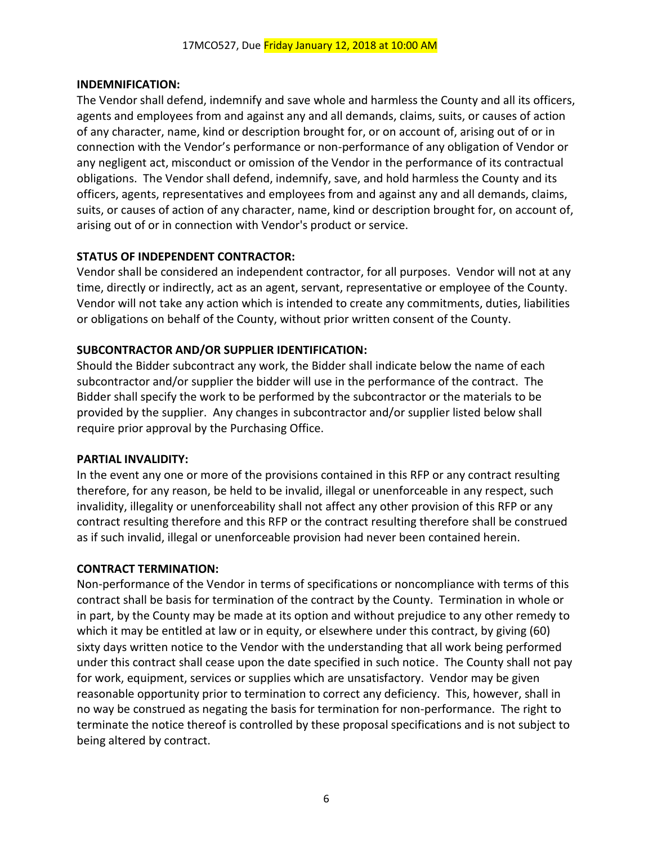### **INDEMNIFICATION:**

The Vendor shall defend, indemnify and save whole and harmless the County and all its officers, agents and employees from and against any and all demands, claims, suits, or causes of action of any character, name, kind or description brought for, or on account of, arising out of or in connection with the Vendor's performance or non-performance of any obligation of Vendor or any negligent act, misconduct or omission of the Vendor in the performance of its contractual obligations. The Vendor shall defend, indemnify, save, and hold harmless the County and its officers, agents, representatives and employees from and against any and all demands, claims, suits, or causes of action of any character, name, kind or description brought for, on account of, arising out of or in connection with Vendor's product or service.

# **STATUS OF INDEPENDENT CONTRACTOR:**

Vendor shall be considered an independent contractor, for all purposes. Vendor will not at any time, directly or indirectly, act as an agent, servant, representative or employee of the County. Vendor will not take any action which is intended to create any commitments, duties, liabilities or obligations on behalf of the County, without prior written consent of the County.

# **SUBCONTRACTOR AND/OR SUPPLIER IDENTIFICATION:**

Should the Bidder subcontract any work, the Bidder shall indicate below the name of each subcontractor and/or supplier the bidder will use in the performance of the contract. The Bidder shall specify the work to be performed by the subcontractor or the materials to be provided by the supplier. Any changes in subcontractor and/or supplier listed below shall require prior approval by the Purchasing Office.

#### **PARTIAL INVALIDITY:**

In the event any one or more of the provisions contained in this RFP or any contract resulting therefore, for any reason, be held to be invalid, illegal or unenforceable in any respect, such invalidity, illegality or unenforceability shall not affect any other provision of this RFP or any contract resulting therefore and this RFP or the contract resulting therefore shall be construed as if such invalid, illegal or unenforceable provision had never been contained herein.

#### **CONTRACT TERMINATION:**

Non-performance of the Vendor in terms of specifications or noncompliance with terms of this contract shall be basis for termination of the contract by the County. Termination in whole or in part, by the County may be made at its option and without prejudice to any other remedy to which it may be entitled at law or in equity, or elsewhere under this contract, by giving (60) sixty days written notice to the Vendor with the understanding that all work being performed under this contract shall cease upon the date specified in such notice. The County shall not pay for work, equipment, services or supplies which are unsatisfactory. Vendor may be given reasonable opportunity prior to termination to correct any deficiency. This, however, shall in no way be construed as negating the basis for termination for non-performance. The right to terminate the notice thereof is controlled by these proposal specifications and is not subject to being altered by contract.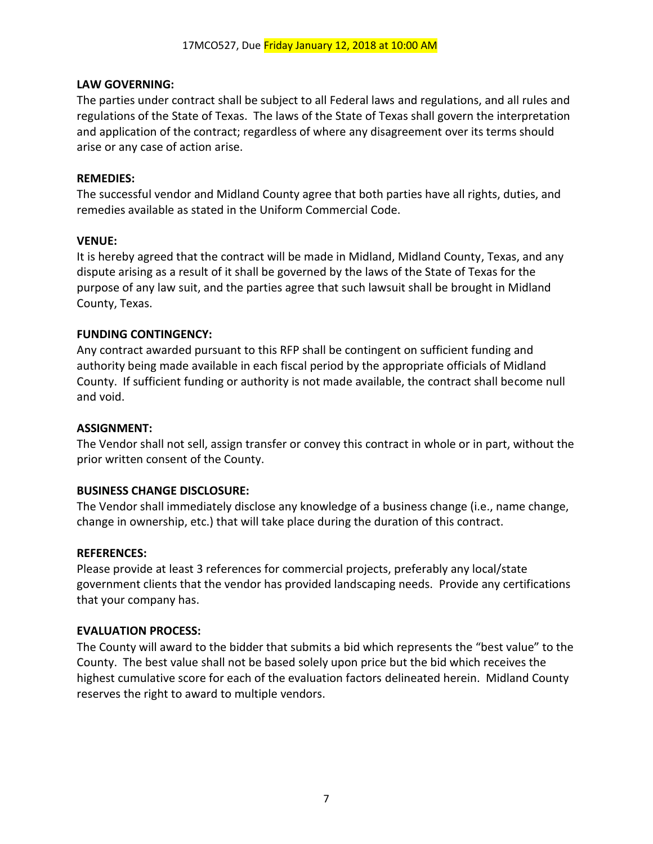### **LAW GOVERNING:**

The parties under contract shall be subject to all Federal laws and regulations, and all rules and regulations of the State of Texas. The laws of the State of Texas shall govern the interpretation and application of the contract; regardless of where any disagreement over its terms should arise or any case of action arise.

### **REMEDIES:**

The successful vendor and Midland County agree that both parties have all rights, duties, and remedies available as stated in the Uniform Commercial Code.

### **VENUE:**

It is hereby agreed that the contract will be made in Midland, Midland County, Texas, and any dispute arising as a result of it shall be governed by the laws of the State of Texas for the purpose of any law suit, and the parties agree that such lawsuit shall be brought in Midland County, Texas.

### **FUNDING CONTINGENCY:**

Any contract awarded pursuant to this RFP shall be contingent on sufficient funding and authority being made available in each fiscal period by the appropriate officials of Midland County. If sufficient funding or authority is not made available, the contract shall become null and void.

### **ASSIGNMENT:**

The Vendor shall not sell, assign transfer or convey this contract in whole or in part, without the prior written consent of the County.

#### **BUSINESS CHANGE DISCLOSURE:**

The Vendor shall immediately disclose any knowledge of a business change (i.e., name change, change in ownership, etc.) that will take place during the duration of this contract.

#### **REFERENCES:**

Please provide at least 3 references for commercial projects, preferably any local/state government clients that the vendor has provided landscaping needs. Provide any certifications that your company has.

#### **EVALUATION PROCESS:**

The County will award to the bidder that submits a bid which represents the "best value" to the County. The best value shall not be based solely upon price but the bid which receives the highest cumulative score for each of the evaluation factors delineated herein. Midland County reserves the right to award to multiple vendors.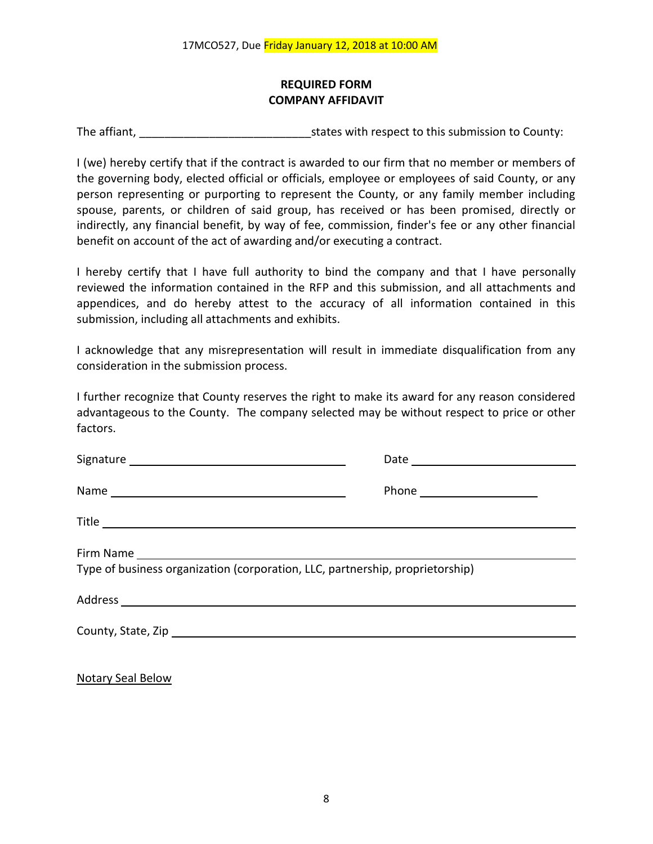# **REQUIRED FORM COMPANY AFFIDAVIT**

The affiant, The affiant, The affiant,  $\frac{1}{2}$  is tates with respect to this submission to County:

I (we) hereby certify that if the contract is awarded to our firm that no member or members of the governing body, elected official or officials, employee or employees of said County, or any person representing or purporting to represent the County, or any family member including spouse, parents, or children of said group, has received or has been promised, directly or indirectly, any financial benefit, by way of fee, commission, finder's fee or any other financial benefit on account of the act of awarding and/or executing a contract.

I hereby certify that I have full authority to bind the company and that I have personally reviewed the information contained in the RFP and this submission, and all attachments and appendices, and do hereby attest to the accuracy of all information contained in this submission, including all attachments and exhibits.

I acknowledge that any misrepresentation will result in immediate disqualification from any consideration in the submission process.

I further recognize that County reserves the right to make its award for any reason considered advantageous to the County. The company selected may be without respect to price or other factors.

| Type of business organization (corporation, LLC, partnership, proprietorship) |  |  |  |  |  |
|-------------------------------------------------------------------------------|--|--|--|--|--|
|                                                                               |  |  |  |  |  |
|                                                                               |  |  |  |  |  |
|                                                                               |  |  |  |  |  |

Notary Seal Below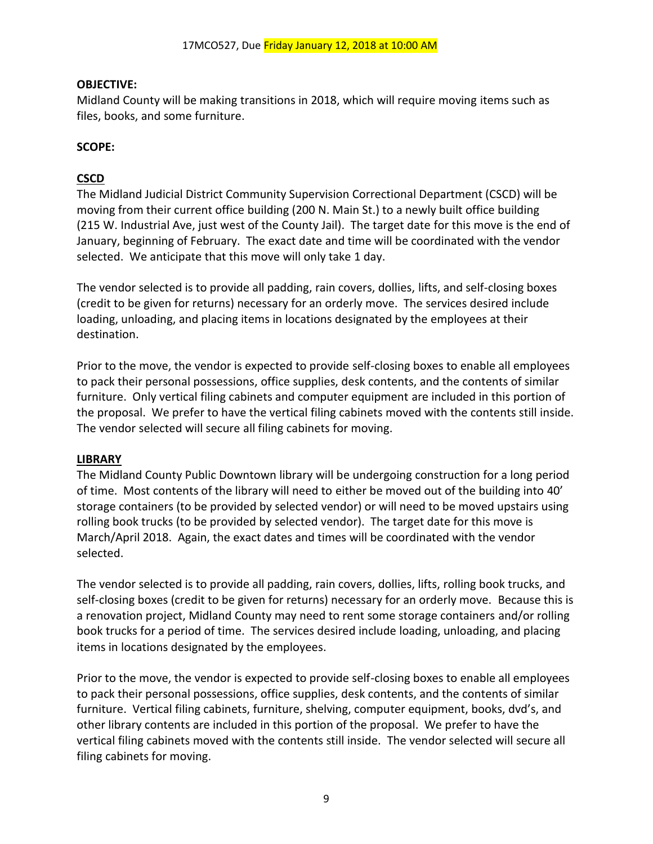# **OBJECTIVE:**

Midland County will be making transitions in 2018, which will require moving items such as files, books, and some furniture.

# **SCOPE:**

# **CSCD**

The Midland Judicial District Community Supervision Correctional Department (CSCD) will be moving from their current office building (200 N. Main St.) to a newly built office building (215 W. Industrial Ave, just west of the County Jail). The target date for this move is the end of January, beginning of February. The exact date and time will be coordinated with the vendor selected. We anticipate that this move will only take 1 day.

The vendor selected is to provide all padding, rain covers, dollies, lifts, and self-closing boxes (credit to be given for returns) necessary for an orderly move. The services desired include loading, unloading, and placing items in locations designated by the employees at their destination.

Prior to the move, the vendor is expected to provide self-closing boxes to enable all employees to pack their personal possessions, office supplies, desk contents, and the contents of similar furniture. Only vertical filing cabinets and computer equipment are included in this portion of the proposal. We prefer to have the vertical filing cabinets moved with the contents still inside. The vendor selected will secure all filing cabinets for moving.

# **LIBRARY**

The Midland County Public Downtown library will be undergoing construction for a long period of time. Most contents of the library will need to either be moved out of the building into 40' storage containers (to be provided by selected vendor) or will need to be moved upstairs using rolling book trucks (to be provided by selected vendor). The target date for this move is March/April 2018. Again, the exact dates and times will be coordinated with the vendor selected.

The vendor selected is to provide all padding, rain covers, dollies, lifts, rolling book trucks, and self-closing boxes (credit to be given for returns) necessary for an orderly move. Because this is a renovation project, Midland County may need to rent some storage containers and/or rolling book trucks for a period of time. The services desired include loading, unloading, and placing items in locations designated by the employees.

Prior to the move, the vendor is expected to provide self-closing boxes to enable all employees to pack their personal possessions, office supplies, desk contents, and the contents of similar furniture. Vertical filing cabinets, furniture, shelving, computer equipment, books, dvd's, and other library contents are included in this portion of the proposal. We prefer to have the vertical filing cabinets moved with the contents still inside. The vendor selected will secure all filing cabinets for moving.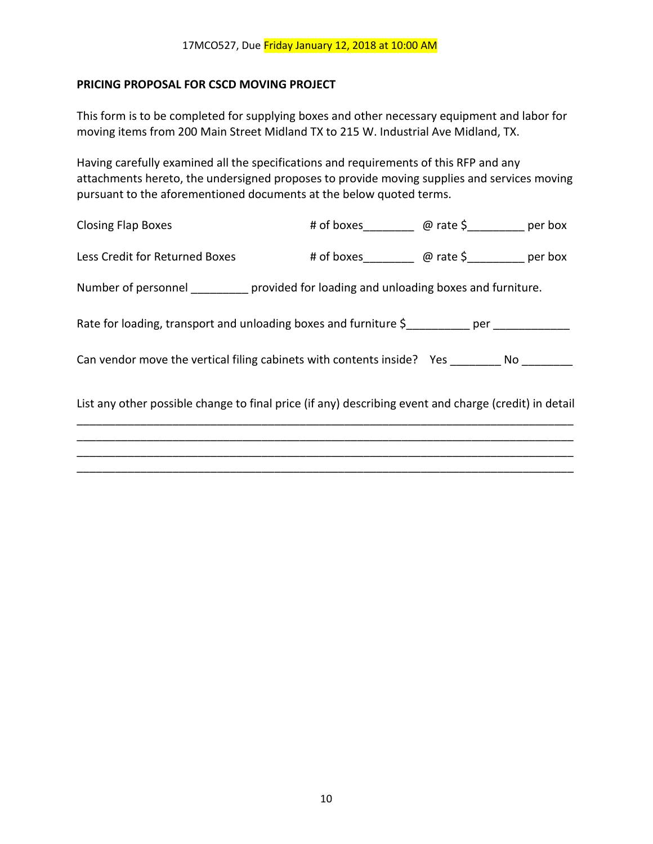### **PRICING PROPOSAL FOR CSCD MOVING PROJECT**

This form is to be completed for supplying boxes and other necessary equipment and labor for moving items from 200 Main Street Midland TX to 215 W. Industrial Ave Midland, TX.

Having carefully examined all the specifications and requirements of this RFP and any attachments hereto, the undersigned proposes to provide moving supplies and services moving pursuant to the aforementioned documents at the below quoted terms.

| <b>Closing Flap Boxes</b>                                                                             | # of boxes @ rate \$ ________ per box |  |
|-------------------------------------------------------------------------------------------------------|---------------------------------------|--|
| Less Credit for Returned Boxes                                                                        |                                       |  |
| Number of personnel __________ provided for loading and unloading boxes and furniture.                |                                       |  |
| Rate for loading, transport and unloading boxes and furniture \$_________ per __________              |                                       |  |
| Can vendor move the vertical filing cabinets with contents inside? Yes ________ No _______            |                                       |  |
| List any other possible change to final price (if any) describing event and charge (credit) in detail |                                       |  |
|                                                                                                       |                                       |  |
|                                                                                                       |                                       |  |